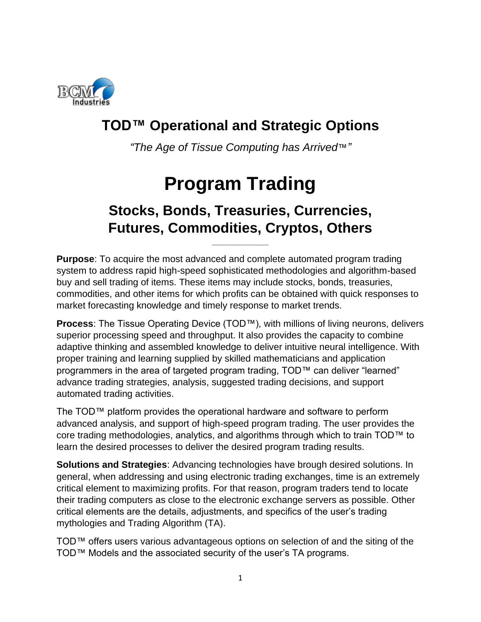

## **TOD™ Operational and Strategic Options**

*"The Age of Tissue Computing has Arrived*™*"*

# **Program Trading**

### **Stocks, Bonds, Treasuries, Currencies, Futures, Commodities, Cryptos, Others**

**\_\_\_\_\_\_\_\_\_\_\_\_\_**

**Purpose**: To acquire the most advanced and complete automated program trading system to address rapid high-speed sophisticated methodologies and algorithm-based buy and sell trading of items. These items may include stocks, bonds, treasuries, commodities, and other items for which profits can be obtained with quick responses to market forecasting knowledge and timely response to market trends.

**Process**: The Tissue Operating Device (TOD™), with millions of living neurons, delivers superior processing speed and throughput. It also provides the capacity to combine adaptive thinking and assembled knowledge to deliver intuitive neural intelligence. With proper training and learning supplied by skilled mathematicians and application programmers in the area of targeted program trading, TOD™ can deliver "learned" advance trading strategies, analysis, suggested trading decisions, and support automated trading activities.

The TOD™ platform provides the operational hardware and software to perform advanced analysis, and support of high-speed program trading. The user provides the core trading methodologies, analytics, and algorithms through which to train TOD™ to learn the desired processes to deliver the desired program trading results.

**Solutions and Strategies**: Advancing technologies have brough desired solutions. In general, when addressing and using electronic trading exchanges, time is an extremely critical element to maximizing profits. For that reason, program traders tend to locate their trading computers as close to the electronic exchange servers as possible. Other critical elements are the details, adjustments, and specifics of the user's trading mythologies and Trading Algorithm (TA).

TOD™ offers users various advantageous options on selection of and the siting of the TOD™ Models and the associated security of the user's TA programs.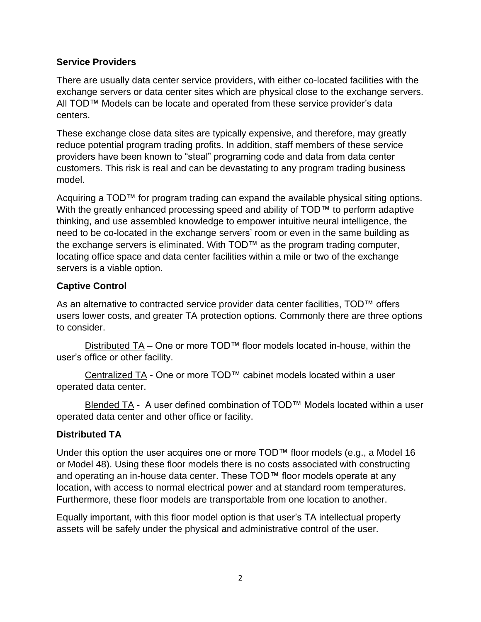#### **Service Providers**

There are usually data center service providers, with either co-located facilities with the exchange servers or data center sites which are physical close to the exchange servers. All TOD™ Models can be locate and operated from these service provider's data centers.

These exchange close data sites are typically expensive, and therefore, may greatly reduce potential program trading profits. In addition, staff members of these service providers have been known to "steal" programing code and data from data center customers. This risk is real and can be devastating to any program trading business model.

Acquiring a TOD™ for program trading can expand the available physical siting options. With the greatly enhanced processing speed and ability of TOD™ to perform adaptive thinking, and use assembled knowledge to empower intuitive neural intelligence, the need to be co-located in the exchange servers' room or even in the same building as the exchange servers is eliminated. With TOD™ as the program trading computer, locating office space and data center facilities within a mile or two of the exchange servers is a viable option.

#### **Captive Control**

As an alternative to contracted service provider data center facilities, TOD™ offers users lower costs, and greater TA protection options. Commonly there are three options to consider.

Distributed TA – One or more TOD™ floor models located in-house, within the user's office or other facility.

Centralized TA - One or more TOD™ cabinet models located within a user operated data center.

Blended TA - A user defined combination of TOD™ Models located within a user operated data center and other office or facility.

#### **Distributed TA**

Under this option the user acquires one or more TOD™ floor models (e.g., a Model 16 or Model 48). Using these floor models there is no costs associated with constructing and operating an in-house data center. These TOD™ floor models operate at any location, with access to normal electrical power and at standard room temperatures. Furthermore, these floor models are transportable from one location to another.

Equally important, with this floor model option is that user's TA intellectual property assets will be safely under the physical and administrative control of the user.